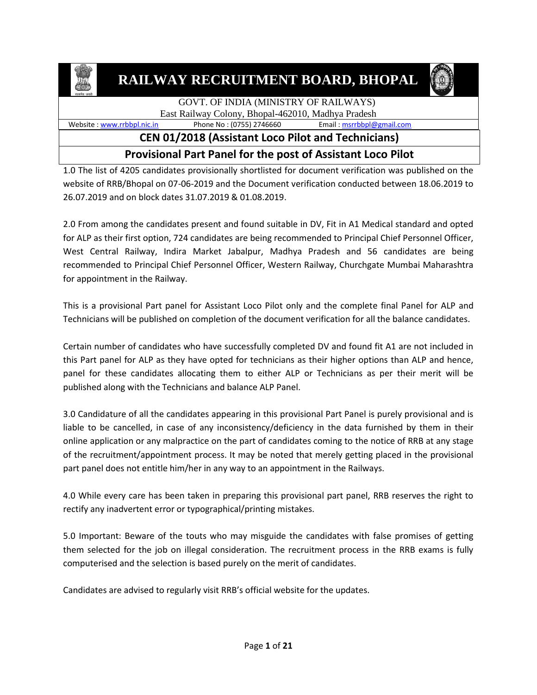

**RAILWAY RECRUITMENT BOARD, BHOPAL**



#### GOVT. OF INDIA (MINISTRY OF RAILWAYS) East Railway Colony, Bhopal-462010, Madhya Pradesh

Website : [www.rrbbpl.nic.in](http://www.rrbbpl.nic.in/) Phone No : (0755) 2746660 Email [: msrrbbpl@gmail.com](mailto:msrrbbpl@gmail.com)

### **CEN 01/2018 (Assistant Loco Pilot and Technicians)**

### **Provisional Part Panel for the post of Assistant Loco Pilot**

1.0 The list of 4205 candidates provisionally shortlisted for document verification was published on the website of RRB/Bhopal on 07-06-2019 and the Document verification conducted between 18.06.2019 to 26.07.2019 and on block dates 31.07.2019 & 01.08.2019.

2.0 From among the candidates present and found suitable in DV, Fit in A1 Medical standard and opted for ALP as their first option, 724 candidates are being recommended to Principal Chief Personnel Officer, West Central Railway, Indira Market Jabalpur, Madhya Pradesh and 56 candidates are being recommended to Principal Chief Personnel Officer, Western Railway, Churchgate Mumbai Maharashtra for appointment in the Railway.

This is a provisional Part panel for Assistant Loco Pilot only and the complete final Panel for ALP and Technicians will be published on completion of the document verification for all the balance candidates.

Certain number of candidates who have successfully completed DV and found fit A1 are not included in this Part panel for ALP as they have opted for technicians as their higher options than ALP and hence, panel for these candidates allocating them to either ALP or Technicians as per their merit will be published along with the Technicians and balance ALP Panel.

3.0 Candidature of all the candidates appearing in this provisional Part Panel is purely provisional and is liable to be cancelled, in case of any inconsistency/deficiency in the data furnished by them in their online application or any malpractice on the part of candidates coming to the notice of RRB at any stage of the recruitment/appointment process. It may be noted that merely getting placed in the provisional part panel does not entitle him/her in any way to an appointment in the Railways.

4.0 While every care has been taken in preparing this provisional part panel, RRB reserves the right to rectify any inadvertent error or typographical/printing mistakes.

5.0 Important: Beware of the touts who may misguide the candidates with false promises of getting them selected for the job on illegal consideration. The recruitment process in the RRB exams is fully computerised and the selection is based purely on the merit of candidates.

Candidates are advised to regularly visit RRB's official website for the updates.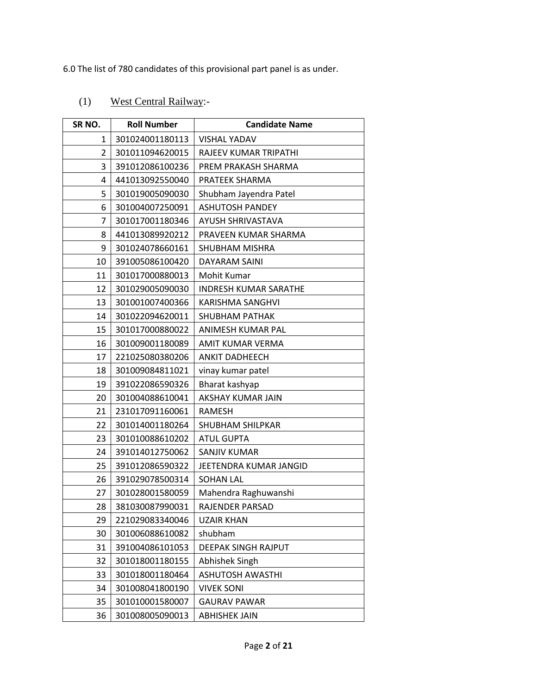6.0 The list of 780 candidates of this provisional part panel is as under.

## (1) West Central Railway:-

| SR <sub>NO.</sub> | <b>Roll Number</b> | <b>Candidate Name</b>        |
|-------------------|--------------------|------------------------------|
| 1                 | 301024001180113    | <b>VISHAL YADAV</b>          |
| $\overline{2}$    | 301011094620015    | RAJEEV KUMAR TRIPATHI        |
| 3                 | 391012086100236    | PREM PRAKASH SHARMA          |
| 4                 | 441013092550040    | PRATEEK SHARMA               |
| 5                 | 301019005090030    | Shubham Jayendra Patel       |
| 6                 | 301004007250091    | <b>ASHUTOSH PANDEY</b>       |
| $\overline{7}$    | 301017001180346    | AYUSH SHRIVASTAVA            |
| 8                 | 441013089920212    | PRAVEEN KUMAR SHARMA         |
| 9                 | 301024078660161    | SHUBHAM MISHRA               |
| 10                | 391005086100420    | DAYARAM SAINI                |
| 11                | 301017000880013    | Mohit Kumar                  |
| 12                | 301029005090030    | <b>INDRESH KUMAR SARATHE</b> |
| 13                | 301001007400366    | <b>KARISHMA SANGHVI</b>      |
| 14                | 301022094620011    | <b>SHUBHAM PATHAK</b>        |
| 15                | 301017000880022    | ANIMESH KUMAR PAL            |
| 16                | 301009001180089    | AMIT KUMAR VERMA             |
| 17                | 221025080380206    | <b>ANKIT DADHEECH</b>        |
| 18                | 301009084811021    | vinay kumar patel            |
| 19                | 391022086590326    | Bharat kashyap               |
| 20                | 301004088610041    | AKSHAY KUMAR JAIN            |
| 21                | 231017091160061    | <b>RAMESH</b>                |
| 22                | 301014001180264    | SHUBHAM SHILPKAR             |
| 23                | 301010088610202    | <b>ATUL GUPTA</b>            |
| 24                | 391014012750062    | SANJIV KUMAR                 |
| 25                | 391012086590322    | JEETENDRA KUMAR JANGID       |
| 26                | 391029078500314    | <b>SOHAN LAL</b>             |
| 27                | 301028001580059    | Mahendra Raghuwanshi         |
| 28                | 381030087990031    | RAJENDER PARSAD              |
| 29                | 221029083340046    | <b>UZAIR KHAN</b>            |
| 30                | 301006088610082    | shubham                      |
| 31                | 391004086101053    | DEEPAK SINGH RAJPUT          |
| 32                | 301018001180155    | Abhishek Singh               |
| 33                | 301018001180464    | <b>ASHUTOSH AWASTHI</b>      |
| 34                | 301008041800190    | <b>VIVEK SONI</b>            |
| 35                | 301010001580007    | <b>GAURAV PAWAR</b>          |
| 36                | 301008005090013    | <b>ABHISHEK JAIN</b>         |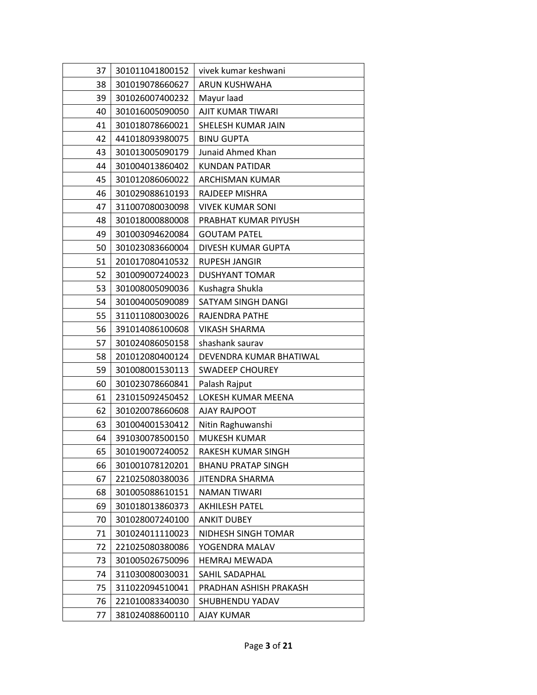| 37 | 301011041800152 | vivek kumar keshwani      |
|----|-----------------|---------------------------|
| 38 | 301019078660627 | ARUN KUSHWAHA             |
| 39 | 301026007400232 | Mayur laad                |
| 40 | 301016005090050 | AJIT KUMAR TIWARI         |
| 41 | 301018078660021 | SHELESH KUMAR JAIN        |
| 42 | 441018093980075 | <b>BINU GUPTA</b>         |
| 43 | 301013005090179 | Junaid Ahmed Khan         |
| 44 | 301004013860402 | <b>KUNDAN PATIDAR</b>     |
| 45 | 301012086060022 | ARCHISMAN KUMAR           |
| 46 | 301029088610193 | RAJDEEP MISHRA            |
| 47 | 311007080030098 | <b>VIVEK KUMAR SONI</b>   |
| 48 | 301018000880008 | PRABHAT KUMAR PIYUSH      |
| 49 | 301003094620084 | <b>GOUTAM PATEL</b>       |
| 50 | 301023083660004 | DIVESH KUMAR GUPTA        |
| 51 | 201017080410532 | <b>RUPESH JANGIR</b>      |
| 52 | 301009007240023 | <b>DUSHYANT TOMAR</b>     |
| 53 | 301008005090036 | Kushagra Shukla           |
| 54 | 301004005090089 | SATYAM SINGH DANGI        |
| 55 | 311011080030026 | RAJENDRA PATHE            |
| 56 | 391014086100608 | <b>VIKASH SHARMA</b>      |
| 57 | 301024086050158 | shashank saurav           |
| 58 | 201012080400124 | DEVENDRA KUMAR BHATIWAL   |
| 59 | 301008001530113 | <b>SWADEEP CHOUREY</b>    |
| 60 | 301023078660841 | Palash Rajput             |
| 61 | 231015092450452 | LOKESH KUMAR MEENA        |
| 62 | 301020078660608 | <b>AJAY RAJPOOT</b>       |
| 63 | 301004001530412 | Nitin Raghuwanshi         |
| 64 | 391030078500150 | <b>MUKESH KUMAR</b>       |
| 65 | 301019007240052 | RAKESH KUMAR SINGH        |
| 66 | 301001078120201 | <b>BHANU PRATAP SINGH</b> |
| 67 | 221025080380036 | JITENDRA SHARMA           |
| 68 | 301005088610151 | <b>NAMAN TIWARI</b>       |
| 69 | 301018013860373 | <b>AKHILESH PATEL</b>     |
| 70 | 301028007240100 | <b>ANKIT DUBEY</b>        |
| 71 | 301024011110023 | NIDHESH SINGH TOMAR       |
| 72 | 221025080380086 | YOGENDRA MALAV            |
| 73 | 301005026750096 | <b>HEMRAJ MEWADA</b>      |
| 74 | 311030080030031 | SAHIL SADAPHAL            |
| 75 | 311022094510041 | PRADHAN ASHISH PRAKASH    |
| 76 | 221010083340030 | SHUBHENDU YADAV           |
| 77 | 381024088600110 | AJAY KUMAR                |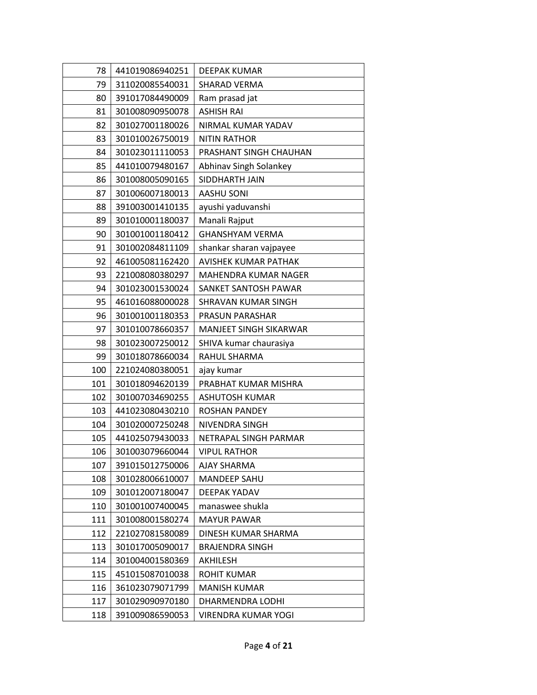| 78  | 441019086940251 | DEEPAK KUMAR                |
|-----|-----------------|-----------------------------|
| 79  | 311020085540031 | SHARAD VERMA                |
| 80  | 391017084490009 | Ram prasad jat              |
| 81  | 301008090950078 | <b>ASHISH RAI</b>           |
| 82  | 301027001180026 | NIRMAL KUMAR YADAV          |
| 83  | 301010026750019 | <b>NITIN RATHOR</b>         |
| 84  | 301023011110053 | PRASHANT SINGH CHAUHAN      |
| 85  | 441010079480167 | Abhinav Singh Solankey      |
| 86  | 301008005090165 | SIDDHARTH JAIN              |
| 87  | 301006007180013 | <b>AASHU SONI</b>           |
| 88  | 391003001410135 | ayushi yaduvanshi           |
| 89  | 301010001180037 | Manali Rajput               |
| 90  | 301001001180412 | <b>GHANSHYAM VERMA</b>      |
| 91  | 301002084811109 | shankar sharan vajpayee     |
| 92  | 461005081162420 | <b>AVISHEK KUMAR PATHAK</b> |
| 93  | 221008080380297 | MAHENDRA KUMAR NAGER        |
| 94  | 301023001530024 | SANKET SANTOSH PAWAR        |
| 95  | 461016088000028 | SHRAVAN KUMAR SINGH         |
| 96  | 301001001180353 | PRASUN PARASHAR             |
| 97  | 301010078660357 | MANJEET SINGH SIKARWAR      |
| 98  | 301023007250012 | SHIVA kumar chaurasiya      |
| 99  | 301018078660034 | RAHUL SHARMA                |
| 100 | 221024080380051 | ajay kumar                  |
| 101 | 301018094620139 | PRABHAT KUMAR MISHRA        |
| 102 | 301007034690255 | <b>ASHUTOSH KUMAR</b>       |
| 103 | 441023080430210 | <b>ROSHAN PANDEY</b>        |
| 104 | 301020007250248 | NIVENDRA SINGH              |
| 105 | 441025079430033 | NETRAPAL SINGH PARMAR       |
| 106 | 301003079660044 | <b>VIPUL RATHOR</b>         |
| 107 | 391015012750006 | <b>AJAY SHARMA</b>          |
| 108 | 301028006610007 | <b>MANDEEP SAHU</b>         |
| 109 | 301012007180047 | <b>DEEPAK YADAV</b>         |
| 110 | 301001007400045 | manaswee shukla             |
| 111 | 301008001580274 | <b>MAYUR PAWAR</b>          |
| 112 | 221027081580089 | DINESH KUMAR SHARMA         |
| 113 | 301017005090017 | <b>BRAJENDRA SINGH</b>      |
| 114 | 301004001580369 | AKHILESH                    |
| 115 | 451015087010038 | <b>ROHIT KUMAR</b>          |
| 116 | 361023079071799 | <b>MANISH KUMAR</b>         |
| 117 | 301029090970180 | DHARMENDRA LODHI            |
| 118 | 391009086590053 | VIRENDRA KUMAR YOGI         |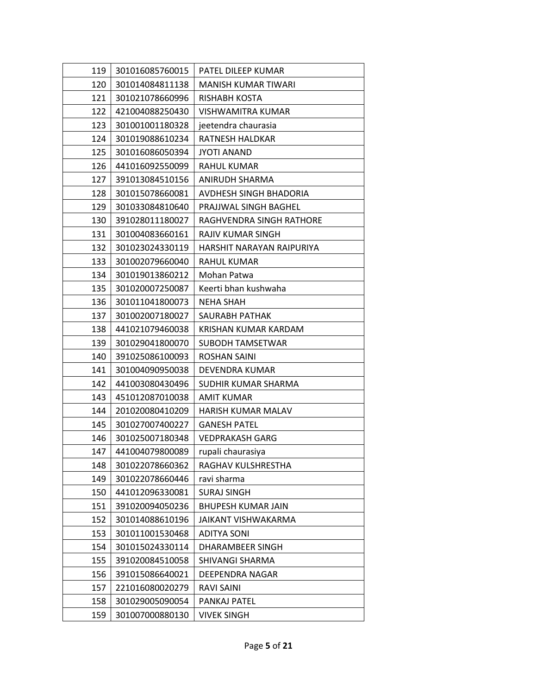| 119 | 301016085760015 | PATEL DILEEP KUMAR         |
|-----|-----------------|----------------------------|
| 120 | 301014084811138 | <b>MANISH KUMAR TIWARI</b> |
| 121 | 301021078660996 | RISHABH KOSTA              |
| 122 | 421004088250430 | VISHWAMITRA KUMAR          |
| 123 | 301001001180328 | jeetendra chaurasia        |
| 124 | 301019088610234 | RATNESH HALDKAR            |
| 125 | 301016086050394 | <b>JYOTI ANAND</b>         |
| 126 | 441016092550099 | <b>RAHUL KUMAR</b>         |
| 127 | 391013084510156 | ANIRUDH SHARMA             |
| 128 | 301015078660081 | AVDHESH SINGH BHADORIA     |
| 129 | 301033084810640 | PRAJJWAL SINGH BAGHEL      |
| 130 | 391028011180027 | RAGHVENDRA SINGH RATHORE   |
| 131 | 301004083660161 | RAJIV KUMAR SINGH          |
| 132 | 301023024330119 | HARSHIT NARAYAN RAIPURIYA  |
| 133 | 301002079660040 | <b>RAHUL KUMAR</b>         |
| 134 | 301019013860212 | Mohan Patwa                |
| 135 | 301020007250087 | Keerti bhan kushwaha       |
| 136 | 301011041800073 | <b>NEHA SHAH</b>           |
| 137 | 301002007180027 | SAURABH PATHAK             |
| 138 | 441021079460038 | KRISHAN KUMAR KARDAM       |
| 139 | 301029041800070 | SUBODH TAMSETWAR           |
| 140 | 391025086100093 | <b>ROSHAN SAINI</b>        |
| 141 | 301004090950038 | DEVENDRA KUMAR             |
| 142 | 441003080430496 | SUDHIR KUMAR SHARMA        |
| 143 | 451012087010038 | AMIT KUMAR                 |
| 144 | 201020080410209 | <b>HARISH KUMAR MALAV</b>  |
| 145 | 301027007400227 | <b>GANESH PATEL</b>        |
| 146 | 301025007180348 | <b>VEDPRAKASH GARG</b>     |
| 147 | 441004079800089 | rupali chaurasiya          |
| 148 | 301022078660362 | RAGHAV KULSHRESTHA         |
| 149 | 301022078660446 | ravi sharma                |
| 150 | 441012096330081 | <b>SURAJ SINGH</b>         |
| 151 | 391020094050236 | <b>BHUPESH KUMAR JAIN</b>  |
| 152 | 301014088610196 | <b>JAIKANT VISHWAKARMA</b> |
| 153 | 301011001530468 | <b>ADITYA SONI</b>         |
| 154 | 301015024330114 | DHARAMBEER SINGH           |
| 155 | 391020084510058 | SHIVANGI SHARMA            |
| 156 | 391015086640021 | DEEPENDRA NAGAR            |
| 157 | 221016080020279 | <b>RAVI SAINI</b>          |
| 158 | 301029005090054 | PANKAJ PATEL               |
| 159 | 301007000880130 | <b>VIVEK SINGH</b>         |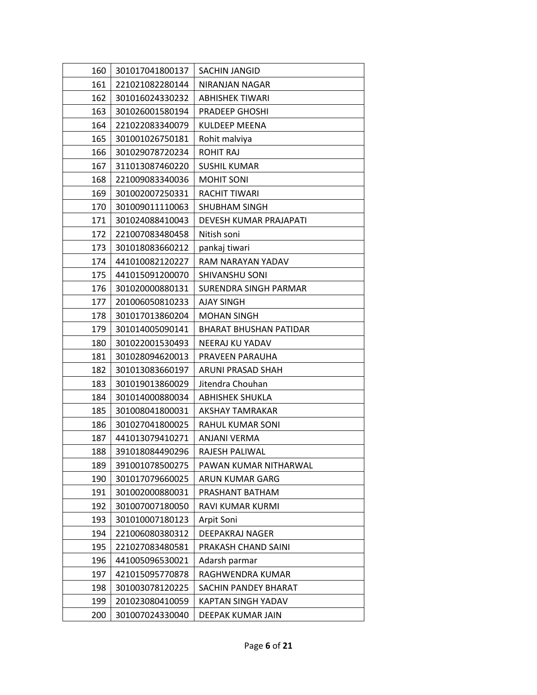| 160 | 301017041800137 | <b>SACHIN JANGID</b>          |
|-----|-----------------|-------------------------------|
| 161 | 221021082280144 | NIRANJAN NAGAR                |
| 162 | 301016024330232 | <b>ABHISHEK TIWARI</b>        |
| 163 | 301026001580194 | <b>PRADEEP GHOSHI</b>         |
| 164 | 221022083340079 | KULDEEP MEENA                 |
| 165 | 301001026750181 | Rohit malviya                 |
| 166 | 301029078720234 | <b>ROHIT RAJ</b>              |
| 167 | 311013087460220 | <b>SUSHIL KUMAR</b>           |
| 168 | 221009083340036 | <b>MOHIT SONI</b>             |
| 169 | 301002007250331 | <b>RACHIT TIWARI</b>          |
| 170 | 301009011110063 | <b>SHUBHAM SINGH</b>          |
| 171 | 301024088410043 | DEVESH KUMAR PRAJAPATI        |
| 172 | 221007083480458 | Nitish soni                   |
| 173 | 301018083660212 | pankaj tiwari                 |
| 174 | 441010082120227 | RAM NARAYAN YADAV             |
| 175 | 441015091200070 | <b>SHIVANSHU SONI</b>         |
| 176 | 301020000880131 | SURENDRA SINGH PARMAR         |
| 177 | 201006050810233 | AJAY SINGH                    |
| 178 | 301017013860204 | <b>MOHAN SINGH</b>            |
| 179 | 301014005090141 | <b>BHARAT BHUSHAN PATIDAR</b> |
| 180 | 301022001530493 | NEERAJ KU YADAV               |
| 181 | 301028094620013 | PRAVEEN PARAUHA               |
| 182 | 301013083660197 | ARUNI PRASAD SHAH             |
| 183 | 301019013860029 | Jitendra Chouhan              |
| 184 | 301014000880034 | <b>ABHISHEK SHUKLA</b>        |
| 185 | 301008041800031 | AKSHAY TAMRAKAR               |
| 186 | 301027041800025 | RAHUL KUMAR SONI              |
| 187 | 441013079410271 | ANJANI VERMA                  |
| 188 | 391018084490296 | RAJESH PALIWAL                |
| 189 | 391001078500275 | PAWAN KUMAR NITHARWAL         |
| 190 | 301017079660025 | ARUN KUMAR GARG               |
| 191 | 301002000880031 | PRASHANT BATHAM               |
| 192 | 301007007180050 | RAVI KUMAR KURMI              |
| 193 | 301010007180123 | Arpit Soni                    |
| 194 | 221006080380312 | DEEPAKRAJ NAGER               |
| 195 | 221027083480581 | PRAKASH CHAND SAINI           |
| 196 | 441005096530021 | Adarsh parmar                 |
| 197 | 421015095770878 | RAGHWENDRA KUMAR              |
| 198 | 301003078120225 | SACHIN PANDEY BHARAT          |
| 199 | 201023080410059 | KAPTAN SINGH YADAV            |
| 200 | 301007024330040 | DEEPAK KUMAR JAIN             |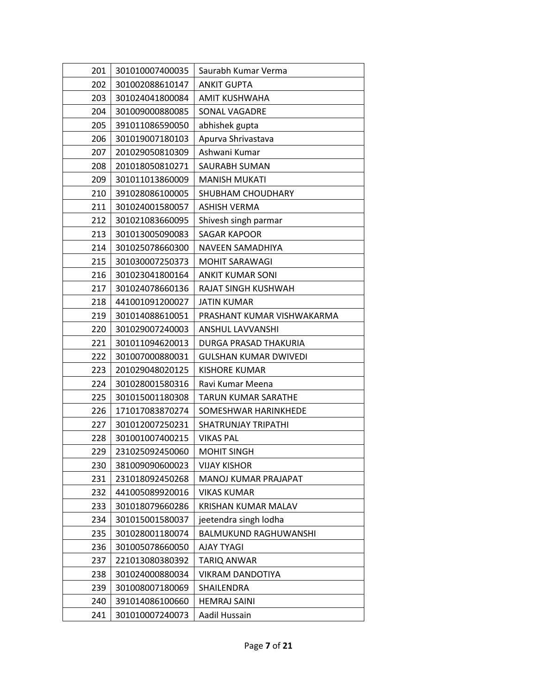| 201 | 301010007400035 | Saurabh Kumar Verma          |
|-----|-----------------|------------------------------|
| 202 | 301002088610147 | <b>ANKIT GUPTA</b>           |
| 203 | 301024041800084 | AMIT KUSHWAHA                |
| 204 | 301009000880085 | SONAL VAGADRE                |
| 205 | 391011086590050 | abhishek gupta               |
| 206 | 301019007180103 | Apurva Shrivastava           |
| 207 | 201029050810309 | Ashwani Kumar                |
| 208 | 201018050810271 | SAURABH SUMAN                |
| 209 | 301011013860009 | <b>MANISH MUKATI</b>         |
| 210 | 391028086100005 | SHUBHAM CHOUDHARY            |
| 211 | 301024001580057 | <b>ASHISH VERMA</b>          |
| 212 | 301021083660095 | Shivesh singh parmar         |
| 213 | 301013005090083 | <b>SAGAR KAPOOR</b>          |
| 214 | 301025078660300 | NAVEEN SAMADHIYA             |
| 215 | 301030007250373 | <b>MOHIT SARAWAGI</b>        |
| 216 | 301023041800164 | <b>ANKIT KUMAR SONI</b>      |
| 217 | 301024078660136 | RAJAT SINGH KUSHWAH          |
| 218 | 441001091200027 | <b>JATIN KUMAR</b>           |
| 219 | 301014088610051 | PRASHANT KUMAR VISHWAKARMA   |
| 220 | 301029007240003 | ANSHUL LAVVANSHI             |
| 221 | 301011094620013 | DURGA PRASAD THAKURIA        |
| 222 | 301007000880031 | <b>GULSHAN KUMAR DWIVEDI</b> |
| 223 | 201029048020125 | <b>KISHORE KUMAR</b>         |
| 224 | 301028001580316 | Ravi Kumar Meena             |
| 225 | 301015001180308 | <b>TARUN KUMAR SARATHE</b>   |
| 226 | 171017083870274 | SOMESHWAR HARINKHEDE         |
| 227 | 301012007250231 | SHATRUNJAY TRIPATHI          |
| 228 | 301001007400215 | <b>VIKAS PAL</b>             |
| 229 | 231025092450060 | <b>MOHIT SINGH</b>           |
| 230 | 381009090600023 | <b>VIJAY KISHOR</b>          |
| 231 | 231018092450268 | MANOJ KUMAR PRAJAPAT         |
| 232 | 441005089920016 | <b>VIKAS KUMAR</b>           |
| 233 | 301018079660286 | <b>KRISHAN KUMAR MALAV</b>   |
| 234 | 301015001580037 | jeetendra singh lodha        |
| 235 | 301028001180074 | <b>BALMUKUND RAGHUWANSHI</b> |
| 236 | 301005078660050 | <b>AJAY TYAGI</b>            |
| 237 | 221013080380392 | <b>TARIQ ANWAR</b>           |
| 238 | 301024000880034 | <b>VIKRAM DANDOTIYA</b>      |
| 239 | 301008007180069 | SHAILENDRA                   |
| 240 | 391014086100660 | <b>HEMRAJ SAINI</b>          |
| 241 | 301010007240073 | Aadil Hussain                |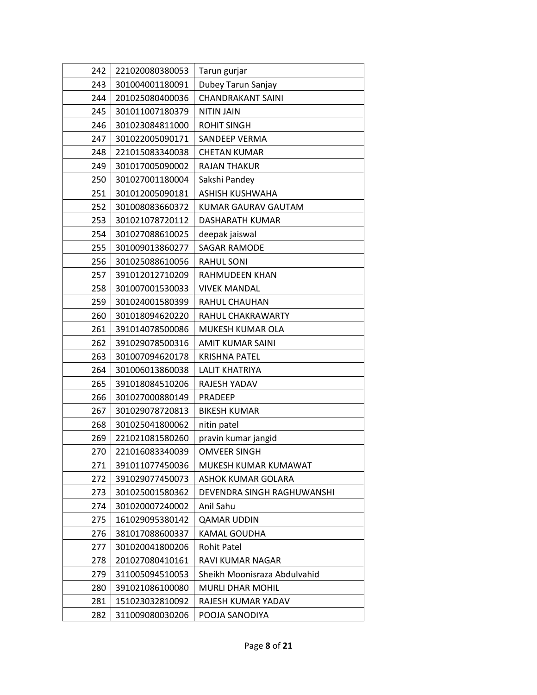| 242 | 221020080380053 | Tarun gurjar                 |
|-----|-----------------|------------------------------|
| 243 | 301004001180091 | Dubey Tarun Sanjay           |
| 244 | 201025080400036 | <b>CHANDRAKANT SAINI</b>     |
| 245 | 301011007180379 | <b>NITIN JAIN</b>            |
| 246 | 301023084811000 | <b>ROHIT SINGH</b>           |
| 247 | 301022005090171 | <b>SANDEEP VERMA</b>         |
| 248 | 221015083340038 | <b>CHETAN KUMAR</b>          |
| 249 | 301017005090002 | <b>RAJAN THAKUR</b>          |
| 250 | 301027001180004 | Sakshi Pandey                |
| 251 | 301012005090181 | <b>ASHISH KUSHWAHA</b>       |
| 252 | 301008083660372 | KUMAR GAURAV GAUTAM          |
| 253 | 301021078720112 | DASHARATH KUMAR              |
| 254 | 301027088610025 | deepak jaiswal               |
| 255 | 301009013860277 | <b>SAGAR RAMODE</b>          |
| 256 | 301025088610056 | <b>RAHUL SONI</b>            |
| 257 | 391012012710209 | RAHMUDEEN KHAN               |
| 258 | 301007001530033 | <b>VIVEK MANDAL</b>          |
| 259 | 301024001580399 | RAHUL CHAUHAN                |
| 260 | 301018094620220 | RAHUL CHAKRAWARTY            |
| 261 | 391014078500086 | MUKESH KUMAR OLA             |
| 262 | 391029078500316 | AMIT KUMAR SAINI             |
| 263 | 301007094620178 | <b>KRISHNA PATEL</b>         |
| 264 | 301006013860038 | <b>LALIT KHATRIYA</b>        |
| 265 | 391018084510206 | RAJESH YADAV                 |
| 266 | 301027000880149 | PRADEEP                      |
| 267 | 301029078720813 | <b>BIKESH KUMAR</b>          |
| 268 | 301025041800062 | nitin patel                  |
| 269 | 221021081580260 | pravin kumar jangid          |
| 270 | 221016083340039 | <b>OMVEER SINGH</b>          |
| 271 | 391011077450036 | MUKESH KUMAR KUMAWAT         |
| 272 | 391029077450073 | ASHOK KUMAR GOLARA           |
| 273 | 301025001580362 | DEVENDRA SINGH RAGHUWANSHI   |
| 274 | 301020007240002 | Anil Sahu                    |
| 275 | 161029095380142 | <b>QAMAR UDDIN</b>           |
| 276 | 381017088600337 | <b>KAMAL GOUDHA</b>          |
| 277 | 301020041800206 | <b>Rohit Patel</b>           |
| 278 | 201027080410161 | RAVI KUMAR NAGAR             |
| 279 | 311005094510053 | Sheikh Moonisraza Abdulvahid |
| 280 | 391021086100080 | <b>MURLI DHAR MOHIL</b>      |
| 281 | 151023032810092 | RAJESH KUMAR YADAV           |
| 282 | 311009080030206 | POOJA SANODIYA               |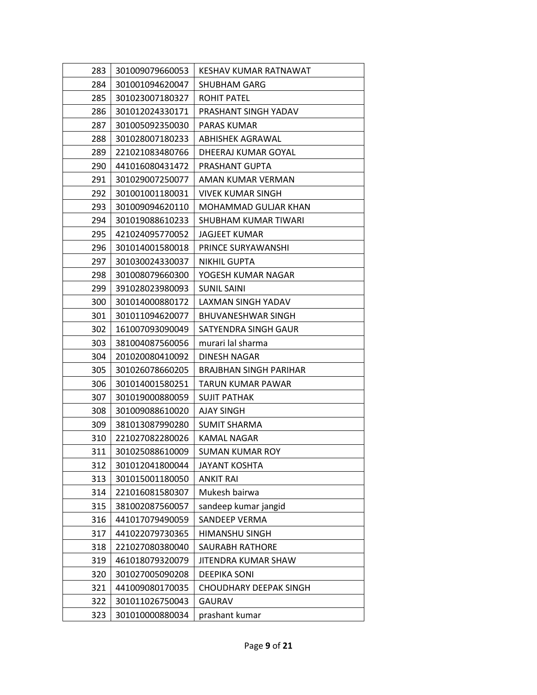| 283 | 301009079660053 | KESHAV KUMAR RATNAWAT         |
|-----|-----------------|-------------------------------|
| 284 | 301001094620047 | SHUBHAM GARG                  |
| 285 | 301023007180327 | <b>ROHIT PATEL</b>            |
| 286 | 301012024330171 | PRASHANT SINGH YADAV          |
| 287 | 301005092350030 | <b>PARAS KUMAR</b>            |
| 288 | 301028007180233 | ABHISHEK AGRAWAL              |
| 289 | 221021083480766 | DHEERAJ KUMAR GOYAL           |
| 290 | 441016080431472 | PRASHANT GUPTA                |
| 291 | 301029007250077 | AMAN KUMAR VERMAN             |
| 292 | 301001001180031 | <b>VIVEK KUMAR SINGH</b>      |
| 293 | 301009094620110 | MOHAMMAD GULJAR KHAN          |
| 294 | 301019088610233 | SHUBHAM KUMAR TIWARI          |
| 295 | 421024095770052 | <b>JAGJEET KUMAR</b>          |
| 296 | 301014001580018 | PRINCE SURYAWANSHI            |
| 297 | 301030024330037 | NIKHIL GUPTA                  |
| 298 | 301008079660300 | YOGESH KUMAR NAGAR            |
| 299 | 391028023980093 | <b>SUNIL SAINI</b>            |
| 300 | 301014000880172 | LAXMAN SINGH YADAV            |
| 301 | 301011094620077 | <b>BHUVANESHWAR SINGH</b>     |
| 302 | 161007093090049 | SATYENDRA SINGH GAUR          |
| 303 | 381004087560056 | murari lal sharma             |
| 304 | 201020080410092 | DINESH NAGAR                  |
| 305 | 301026078660205 | <b>BRAJBHAN SINGH PARIHAR</b> |
| 306 | 301014001580251 | TARUN KUMAR PAWAR             |
| 307 | 301019000880059 | <b>SUJIT PATHAK</b>           |
| 308 | 301009088610020 | <b>AJAY SINGH</b>             |
| 309 | 381013087990280 | <b>SUMIT SHARMA</b>           |
| 310 | 221027082280026 | KAMAL NAGAR                   |
| 311 | 301025088610009 | <b>SUMAN KUMAR ROY</b>        |
| 312 | 301012041800044 | <b>JAYANT KOSHTA</b>          |
| 313 | 301015001180050 | <b>ANKIT RAI</b>              |
| 314 | 221016081580307 | Mukesh bairwa                 |
| 315 | 381002087560057 | sandeep kumar jangid          |
| 316 | 441017079490059 | SANDEEP VERMA                 |
| 317 | 441022079730365 | <b>HIMANSHU SINGH</b>         |
| 318 | 221027080380040 | <b>SAURABH RATHORE</b>        |
| 319 | 461018079320079 | JITENDRA KUMAR SHAW           |
| 320 | 301027005090208 | <b>DEEPIKA SONI</b>           |
| 321 | 441009080170035 | <b>CHOUDHARY DEEPAK SINGH</b> |
| 322 | 301011026750043 | <b>GAURAV</b>                 |
| 323 | 301010000880034 | prashant kumar                |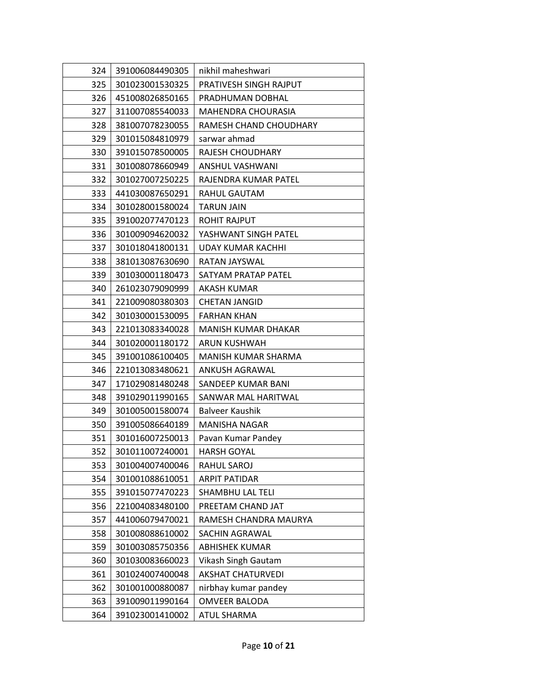| 324 | 391006084490305 | nikhil maheshwari          |
|-----|-----------------|----------------------------|
| 325 | 301023001530325 | PRATIVESH SINGH RAJPUT     |
| 326 | 451008026850165 | PRADHUMAN DOBHAL           |
| 327 | 311007085540033 | <b>MAHENDRA CHOURASIA</b>  |
| 328 | 381007078230055 | RAMESH CHAND CHOUDHARY     |
| 329 | 301015084810979 | sarwar ahmad               |
| 330 | 391015078500005 | RAJESH CHOUDHARY           |
| 331 | 301008078660949 | ANSHUL VASHWANI            |
| 332 | 301027007250225 | RAJENDRA KUMAR PATEL       |
| 333 | 441030087650291 | RAHUL GAUTAM               |
| 334 | 301028001580024 | <b>TARUN JAIN</b>          |
| 335 | 391002077470123 | <b>ROHIT RAJPUT</b>        |
| 336 | 301009094620032 | YASHWANT SINGH PATEL       |
| 337 | 301018041800131 | UDAY KUMAR KACHHI          |
| 338 | 381013087630690 | RATAN JAYSWAL              |
| 339 | 301030001180473 | SATYAM PRATAP PATEL        |
| 340 | 261023079090999 | AKASH KUMAR                |
| 341 | 221009080380303 | <b>CHETAN JANGID</b>       |
| 342 | 301030001530095 | <b>FARHAN KHAN</b>         |
| 343 | 221013083340028 | <b>MANISH KUMAR DHAKAR</b> |
| 344 | 301020001180172 | ARUN KUSHWAH               |
| 345 | 391001086100405 | MANISH KUMAR SHARMA        |
| 346 | 221013083480621 | ANKUSH AGRAWAL             |
| 347 | 171029081480248 | SANDEEP KUMAR BANI         |
| 348 | 391029011990165 | SANWAR MAL HARITWAL        |
| 349 | 301005001580074 | Balveer Kaushik            |
| 350 | 391005086640189 | <b>MANISHA NAGAR</b>       |
| 351 | 301016007250013 | Pavan Kumar Pandey         |
| 352 | 301011007240001 | <b>HARSH GOYAL</b>         |
| 353 | 301004007400046 | RAHUL SAROJ                |
| 354 | 301001088610051 | <b>ARPIT PATIDAR</b>       |
| 355 | 391015077470223 | SHAMBHU LAL TELI           |
| 356 | 221004083480100 | PREETAM CHAND JAT          |
| 357 | 441006079470021 | RAMESH CHANDRA MAURYA      |
| 358 | 301008088610002 | <b>SACHIN AGRAWAL</b>      |
| 359 | 301003085750356 | <b>ABHISHEK KUMAR</b>      |
| 360 | 301030083660023 | Vikash Singh Gautam        |
| 361 | 301024007400048 | <b>AKSHAT CHATURVEDI</b>   |
| 362 | 301001000880087 | nirbhay kumar pandey       |
| 363 | 391009011990164 | <b>OMVEER BALODA</b>       |
| 364 | 391023001410002 | <b>ATUL SHARMA</b>         |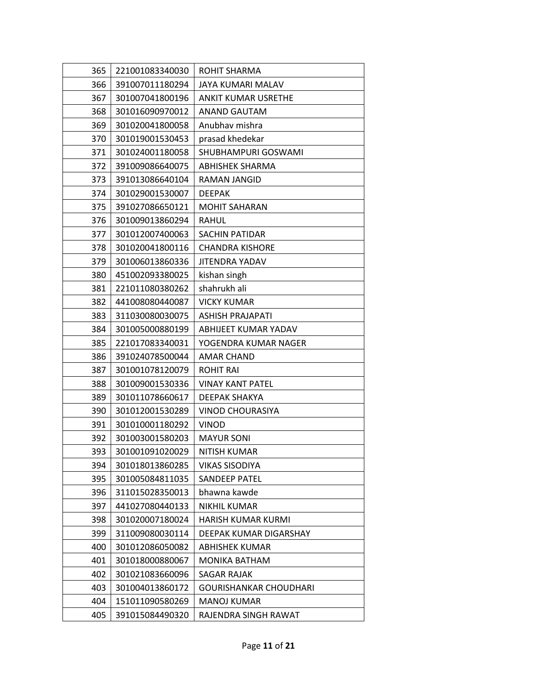| 365 | 221001083340030 | ROHIT SHARMA                  |
|-----|-----------------|-------------------------------|
| 366 | 391007011180294 | JAYA KUMARI MALAV             |
| 367 | 301007041800196 | ANKIT KUMAR USRETHE           |
| 368 | 301016090970012 | <b>ANAND GAUTAM</b>           |
| 369 | 301020041800058 | Anubhav mishra                |
| 370 | 301019001530453 | prasad khedekar               |
| 371 | 301024001180058 | SHUBHAMPURI GOSWAMI           |
| 372 | 391009086640075 | <b>ABHISHEK SHARMA</b>        |
| 373 | 391013086640104 | RAMAN JANGID                  |
| 374 | 301029001530007 | <b>DEEPAK</b>                 |
| 375 | 391027086650121 | <b>MOHIT SAHARAN</b>          |
| 376 | 301009013860294 | RAHUL                         |
| 377 | 301012007400063 | <b>SACHIN PATIDAR</b>         |
| 378 | 301020041800116 | <b>CHANDRA KISHORE</b>        |
| 379 | 301006013860336 | JITENDRA YADAV                |
| 380 | 451002093380025 | kishan singh                  |
| 381 | 221011080380262 | shahrukh ali                  |
| 382 | 441008080440087 | <b>VICKY KUMAR</b>            |
| 383 | 311030080030075 | ASHISH PRAJAPATI              |
| 384 | 301005000880199 | ABHIJEET KUMAR YADAV          |
| 385 | 221017083340031 | YOGENDRA KUMAR NAGER          |
| 386 | 391024078500044 | AMAR CHAND                    |
| 387 | 301001078120079 | <b>ROHIT RAI</b>              |
| 388 | 301009001530336 | <b>VINAY KANT PATEL</b>       |
| 389 | 301011078660617 | DEEPAK SHAKYA                 |
| 390 | 301012001530289 | VINOD CHOURASIYA              |
| 391 | 301010001180292 | <b>VINOD</b>                  |
| 392 | 301003001580203 | <b>MAYUR SONI</b>             |
| 393 | 301001091020029 | NITISH KUMAR                  |
| 394 | 301018013860285 | <b>VIKAS SISODIYA</b>         |
| 395 | 301005084811035 | SANDEEP PATEL                 |
| 396 | 311015028350013 | bhawna kawde                  |
| 397 | 441027080440133 | <b>NIKHIL KUMAR</b>           |
| 398 | 301020007180024 | <b>HARISH KUMAR KURMI</b>     |
| 399 | 311009080030114 | DEEPAK KUMAR DIGARSHAY        |
| 400 | 301012086050082 | <b>ABHISHEK KUMAR</b>         |
| 401 | 301018000880067 | MONIKA BATHAM                 |
| 402 | 301021083660096 | SAGAR RAJAK                   |
| 403 | 301004013860172 | <b>GOURISHANKAR CHOUDHARI</b> |
| 404 | 151011090580269 | <b>MANOJ KUMAR</b>            |
| 405 | 391015084490320 | RAJENDRA SINGH RAWAT          |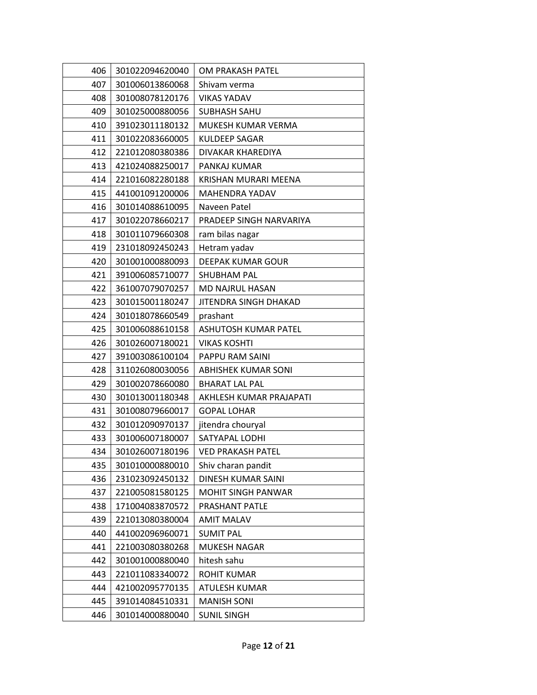| 406 | 301022094620040 | OM PRAKASH PATEL           |
|-----|-----------------|----------------------------|
| 407 | 301006013860068 | Shivam verma               |
| 408 | 301008078120176 | <b>VIKAS YADAV</b>         |
| 409 | 301025000880056 | <b>SUBHASH SAHU</b>        |
| 410 | 391023011180132 | MUKESH KUMAR VERMA         |
| 411 | 301022083660005 | <b>KULDEEP SAGAR</b>       |
| 412 | 221012080380386 | DIVAKAR KHAREDIYA          |
| 413 | 421024088250017 | PANKAJ KUMAR               |
| 414 | 221016082280188 | KRISHAN MURARI MEENA       |
| 415 | 441001091200006 | MAHENDRA YADAV             |
| 416 | 301014088610095 | Naveen Patel               |
| 417 | 301022078660217 | PRADEEP SINGH NARVARIYA    |
| 418 | 301011079660308 | ram bilas nagar            |
| 419 | 231018092450243 | Hetram yadav               |
| 420 | 301001000880093 | DEEPAK KUMAR GOUR          |
| 421 | 391006085710077 | <b>SHUBHAM PAL</b>         |
| 422 | 361007079070257 | MD NAJRUL HASAN            |
| 423 | 301015001180247 | JITENDRA SINGH DHAKAD      |
| 424 | 301018078660549 | prashant                   |
| 425 | 301006088610158 | ASHUTOSH KUMAR PATEL       |
| 426 | 301026007180021 | <b>VIKAS KOSHTI</b>        |
| 427 | 391003086100104 | PAPPU RAM SAINI            |
| 428 | 311026080030056 | <b>ABHISHEK KUMAR SONI</b> |
| 429 | 301002078660080 | <b>BHARAT LAL PAL</b>      |
| 430 | 301013001180348 | AKHLESH KUMAR PRAJAPATI    |
| 431 | 301008079660017 | <b>GOPAL LOHAR</b>         |
| 432 | 301012090970137 | jitendra chouryal          |
| 433 | 301006007180007 | SATYAPAL LODHI             |
| 434 | 301026007180196 | <b>VED PRAKASH PATEL</b>   |
| 435 | 301010000880010 | Shiv charan pandit         |
| 436 | 231023092450132 | <b>DINESH KUMAR SAINI</b>  |
| 437 | 221005081580125 | <b>MOHIT SINGH PANWAR</b>  |
| 438 | 171004083870572 | PRASHANT PATLE             |
| 439 | 221013080380004 | <b>AMIT MALAV</b>          |
| 440 | 441002096960071 | <b>SUMIT PAL</b>           |
| 441 | 221003080380268 | MUKESH NAGAR               |
| 442 | 301001000880040 | hitesh sahu                |
| 443 | 221011083340072 | <b>ROHIT KUMAR</b>         |
| 444 | 421002095770135 | ATULESH KUMAR              |
| 445 | 391014084510331 | <b>MANISH SONI</b>         |
| 446 | 301014000880040 | <b>SUNIL SINGH</b>         |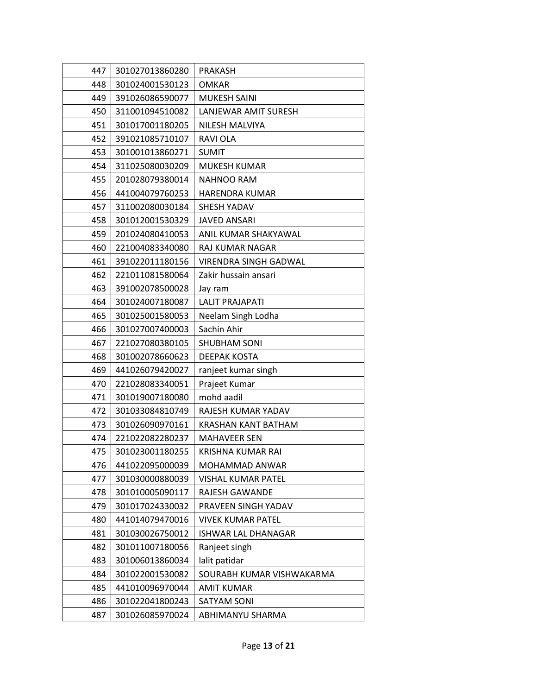| 447 | 301027013860280 | <b>PRAKASH</b>               |
|-----|-----------------|------------------------------|
| 448 | 301024001530123 | <b>OMKAR</b>                 |
| 449 | 391026086590077 | <b>MUKESH SAINI</b>          |
| 450 | 311001094510082 | LANJEWAR AMIT SURESH         |
| 451 | 301017001180205 | NILESH MALVIYA               |
| 452 | 391021085710107 | <b>RAVIOLA</b>               |
| 453 | 301001013860271 | <b>SUMIT</b>                 |
| 454 | 311025080030209 | <b>MUKESH KUMAR</b>          |
| 455 | 201028079380014 | <b>NAHNOO RAM</b>            |
| 456 | 441004079760253 | <b>HARENDRA KUMAR</b>        |
| 457 | 311002080030184 | SHESH YADAV                  |
| 458 | 301012001530329 | <b>JAVED ANSARI</b>          |
| 459 | 201024080410053 | ANIL KUMAR SHAKYAWAL         |
| 460 | 221004083340080 | RAJ KUMAR NAGAR              |
| 461 | 391022011180156 | <b>VIRENDRA SINGH GADWAL</b> |
| 462 | 221011081580064 | Zakir hussain ansari         |
| 463 | 391002078500028 | Jay ram                      |
| 464 | 301024007180087 | <b>LALIT PRAJAPATI</b>       |
| 465 | 301025001580053 | Neelam Singh Lodha           |
| 466 | 301027007400003 | Sachin Ahir                  |
| 467 | 221027080380105 | <b>SHUBHAM SONI</b>          |
| 468 | 301002078660623 | DEEPAK KOSTA                 |
| 469 | 441026079420027 | ranjeet kumar singh          |
| 470 | 221028083340051 | Prajeet Kumar                |
| 471 | 301019007180080 | mohd aadil                   |
| 472 | 301033084810749 | RAJESH KUMAR YADAV           |
| 473 | 301026090970161 | <b>KRASHAN KANT BATHAM</b>   |
| 474 | 221022082280237 | <b>MAHAVEER SEN</b>          |
| 475 | 301023001180255 | KRISHNA KUMAR RAI            |
| 476 | 441022095000039 | MOHAMMAD ANWAR               |
| 477 | 301030000880039 | VISHAL KUMAR PATEL           |
| 478 | 301010005090117 | RAJESH GAWANDE               |
| 479 | 301017024330032 | PRAVEEN SINGH YADAV          |
| 480 | 441014079470016 | <b>VIVEK KUMAR PATEL</b>     |
| 481 | 301030026750012 | <b>ISHWAR LAL DHANAGAR</b>   |
| 482 | 301011007180056 | Ranjeet singh                |
| 483 | 301006013860034 | lalit patidar                |
| 484 | 301022001530082 | SOURABH KUMAR VISHWAKARMA    |
| 485 | 441010096970044 | <b>AMIT KUMAR</b>            |
| 486 | 301022041800243 | SATYAM SONI                  |
| 487 | 301026085970024 | ABHIMANYU SHARMA             |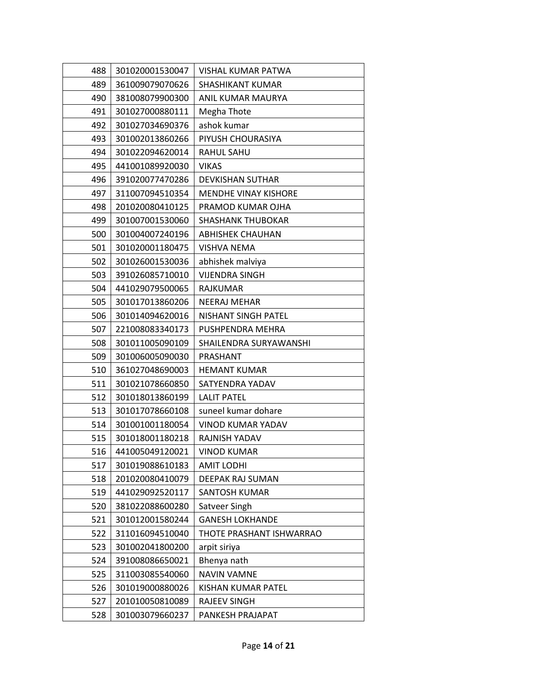| 488 | 301020001530047 | VISHAL KUMAR PATWA          |
|-----|-----------------|-----------------------------|
| 489 | 361009079070626 | <b>SHASHIKANT KUMAR</b>     |
| 490 | 381008079900300 | ANIL KUMAR MAURYA           |
| 491 | 301027000880111 | Megha Thote                 |
| 492 | 301027034690376 | ashok kumar                 |
| 493 | 301002013860266 | PIYUSH CHOURASIYA           |
| 494 | 301022094620014 | RAHUL SAHU                  |
| 495 | 441001089920030 | <b>VIKAS</b>                |
| 496 | 391020077470286 | <b>DEVKISHAN SUTHAR</b>     |
| 497 | 311007094510354 | <b>MENDHE VINAY KISHORE</b> |
| 498 | 201020080410125 | PRAMOD KUMAR OJHA           |
| 499 | 301007001530060 | <b>SHASHANK THUBOKAR</b>    |
| 500 | 301004007240196 | <b>ABHISHEK CHAUHAN</b>     |
| 501 | 301020001180475 | VISHVA NEMA                 |
| 502 | 301026001530036 | abhishek malviya            |
| 503 | 391026085710010 | VIJENDRA SINGH              |
| 504 | 441029079500065 | <b>RAJKUMAR</b>             |
| 505 | 301017013860206 | <b>NEERAJ MEHAR</b>         |
| 506 | 301014094620016 | <b>NISHANT SINGH PATEL</b>  |
| 507 | 221008083340173 | PUSHPENDRA MEHRA            |
| 508 | 301011005090109 | SHAILENDRA SURYAWANSHI      |
| 509 | 301006005090030 | PRASHANT                    |
| 510 | 361027048690003 | <b>HEMANT KUMAR</b>         |
| 511 | 301021078660850 | SATYENDRA YADAV             |
| 512 | 301018013860199 | <b>LALIT PATEL</b>          |
| 513 | 301017078660108 | suneel kumar dohare         |
| 514 | 301001001180054 | VINOD KUMAR YADAV           |
| 515 | 301018001180218 | RAJNISH YADAV               |
| 516 | 441005049120021 | <b>VINOD KUMAR</b>          |
| 517 | 301019088610183 | <b>AMIT LODHI</b>           |
| 518 | 201020080410079 | DEEPAK RAJ SUMAN            |
| 519 | 441029092520117 | SANTOSH KUMAR               |
| 520 | 381022088600280 | Satveer Singh               |
| 521 | 301012001580244 | <b>GANESH LOKHANDE</b>      |
| 522 | 311016094510040 | THOTE PRASHANT ISHWARRAO    |
| 523 | 301002041800200 | arpit siriya                |
| 524 | 391008086650021 | Bhenya nath                 |
| 525 | 311003085540060 | <b>NAVIN VAMNE</b>          |
| 526 | 301019000880026 | KISHAN KUMAR PATEL          |
| 527 | 201010050810089 | <b>RAJEEV SINGH</b>         |
| 528 | 301003079660237 | PANKESH PRAJAPAT            |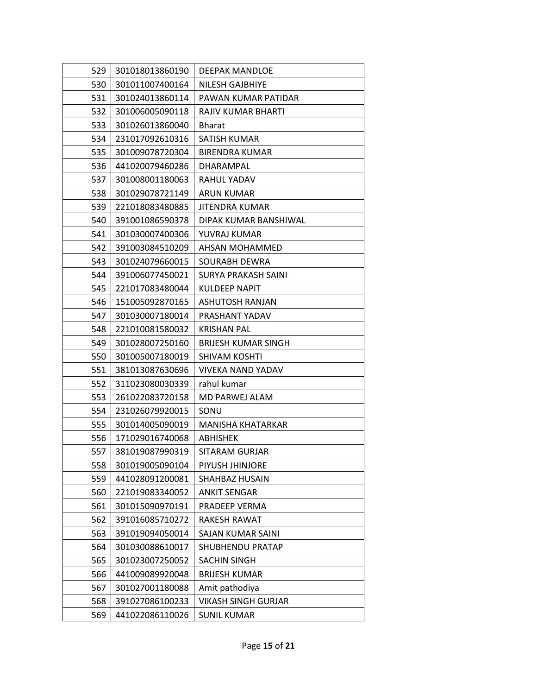| 529 | 301018013860190 | <b>DEEPAK MANDLOE</b>      |
|-----|-----------------|----------------------------|
| 530 | 301011007400164 | NILESH GAJBHIYE            |
| 531 | 301024013860114 | PAWAN KUMAR PATIDAR        |
| 532 | 301006005090118 | <b>RAJIV KUMAR BHARTI</b>  |
| 533 | 301026013860040 | <b>Bharat</b>              |
| 534 | 231017092610316 | SATISH KUMAR               |
| 535 | 301009078720304 | <b>BIRENDRA KUMAR</b>      |
| 536 | 441020079460286 | DHARAMPAL                  |
| 537 | 301008001180063 | RAHUL YADAV                |
| 538 | 301029078721149 | ARUN KUMAR                 |
| 539 | 221018083480885 | JITENDRA KUMAR             |
| 540 | 391001086590378 | DIPAK KUMAR BANSHIWAL      |
| 541 | 301030007400306 | YUVRAJ KUMAR               |
| 542 | 391003084510209 | AHSAN MOHAMMED             |
| 543 | 301024079660015 | SOURABH DEWRA              |
| 544 | 391006077450021 | SURYA PRAKASH SAINI        |
| 545 | 221017083480044 | KULDEEP NAPIT              |
| 546 | 151005092870165 | ASHUTOSH RANJAN            |
| 547 | 301030007180014 | PRASHANT YADAV             |
| 548 | 221010081580032 | <b>KRISHAN PAL</b>         |
| 549 | 301028007250160 | <b>BRIJESH KUMAR SINGH</b> |
| 550 | 301005007180019 | <b>SHIVAM KOSHTI</b>       |
| 551 | 381013087630696 | <b>VIVEKA NAND YADAV</b>   |
| 552 | 311023080030339 | rahul kumar                |
| 553 | 261022083720158 | MD PARWEJ ALAM             |
| 554 | 231026079920015 | SONU                       |
| 555 | 301014005090019 | MANISHA KHATARKAR          |
| 556 | 171029016740068 | <b>ABHISHEK</b>            |
| 557 | 381019087990319 | SITARAM GURJAR             |
| 558 | 301019005090104 | PIYUSH JHINJORE            |
| 559 | 441028091200081 | SHAHBAZ HUSAIN             |
| 560 | 221019083340052 | <b>ANKIT SENGAR</b>        |
| 561 | 301015090970191 | PRADEEP VERMA              |
| 562 | 391016085710272 | RAKESH RAWAT               |
| 563 | 391019094050014 | <b>SAJAN KUMAR SAINI</b>   |
| 564 | 301030088610017 | SHUBHENDU PRATAP           |
| 565 | 301023007250052 | <b>SACHIN SINGH</b>        |
| 566 | 441009089920048 | <b>BRIJESH KUMAR</b>       |
| 567 | 301027001180088 | Amit pathodiya             |
| 568 | 391027086100233 | <b>VIKASH SINGH GURJAR</b> |
| 569 | 441022086110026 | <b>SUNIL KUMAR</b>         |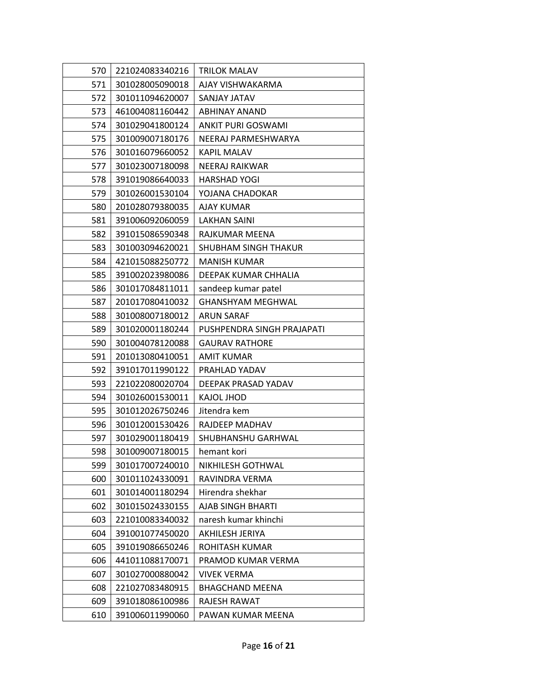| 570 | 221024083340216 | <b>TRILOK MALAV</b>        |
|-----|-----------------|----------------------------|
| 571 | 301028005090018 | AJAY VISHWAKARMA           |
| 572 | 301011094620007 | SANJAY JATAV               |
| 573 | 461004081160442 | ABHINAY ANAND              |
| 574 | 301029041800124 | <b>ANKIT PURI GOSWAMI</b>  |
| 575 | 301009007180176 | NEERAJ PARMESHWARYA        |
| 576 | 301016079660052 | <b>KAPIL MALAV</b>         |
| 577 | 301023007180098 | <b>NEERAJ RAIKWAR</b>      |
| 578 | 391019086640033 | <b>HARSHAD YOGI</b>        |
| 579 | 301026001530104 | YOJANA CHADOKAR            |
| 580 | 201028079380035 | AJAY KUMAR                 |
| 581 | 391006092060059 | <b>LAKHAN SAINI</b>        |
| 582 | 391015086590348 | RAJKUMAR MEENA             |
| 583 | 301003094620021 | SHUBHAM SINGH THAKUR       |
| 584 | 421015088250772 | <b>MANISH KUMAR</b>        |
| 585 | 391002023980086 | DEEPAK KUMAR CHHALIA       |
| 586 | 301017084811011 | sandeep kumar patel        |
| 587 | 201017080410032 | <b>GHANSHYAM MEGHWAL</b>   |
| 588 | 301008007180012 | ARUN SARAF                 |
| 589 | 301020001180244 | PUSHPENDRA SINGH PRAJAPATI |
| 590 | 301004078120088 | <b>GAURAV RATHORE</b>      |
| 591 | 201013080410051 | <b>AMIT KUMAR</b>          |
| 592 | 391017011990122 | PRAHLAD YADAV              |
| 593 | 221022080020704 | DEEPAK PRASAD YADAV        |
| 594 | 301026001530011 | <b>KAJOL JHOD</b>          |
| 595 | 301012026750246 | Jitendra kem               |
| 596 | 301012001530426 | RAJDEEP MADHAV             |
| 597 | 301029001180419 | SHUBHANSHU GARHWAL         |
| 598 | 301009007180015 | hemant kori                |
| 599 | 301017007240010 | NIKHILESH GOTHWAL          |
| 600 | 301011024330091 | RAVINDRA VERMA             |
| 601 | 301014001180294 | Hirendra shekhar           |
| 602 | 301015024330155 | AJAB SINGH BHARTI          |
| 603 | 221010083340032 | naresh kumar khinchi       |
| 604 | 391001077450020 | AKHILESH JERIYA            |
| 605 | 391019086650246 | ROHITASH KUMAR             |
| 606 | 441011088170071 | PRAMOD KUMAR VERMA         |
| 607 | 301027000880042 | <b>VIVEK VERMA</b>         |
| 608 | 221027083480915 | <b>BHAGCHAND MEENA</b>     |
| 609 | 391018086100986 | RAJESH RAWAT               |
| 610 | 391006011990060 | PAWAN KUMAR MEENA          |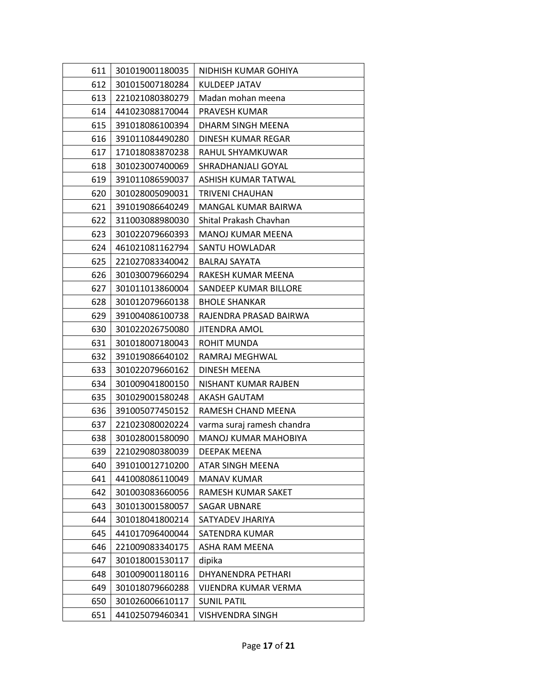| 611 | 301019001180035 | NIDHISH KUMAR GOHIYA       |
|-----|-----------------|----------------------------|
| 612 | 301015007180284 | KULDEEP JATAV              |
| 613 | 221021080380279 | Madan mohan meena          |
| 614 | 441023088170044 | PRAVESH KUMAR              |
| 615 | 391018086100394 | DHARM SINGH MEENA          |
| 616 | 391011084490280 | DINESH KUMAR REGAR         |
| 617 | 171018083870238 | RAHUL SHYAMKUWAR           |
| 618 | 301023007400069 | SHRADHANJALI GOYAL         |
| 619 | 391011086590037 | ASHISH KUMAR TATWAL        |
| 620 | 301028005090031 | <b>TRIVENI CHAUHAN</b>     |
| 621 | 391019086640249 | MANGAL KUMAR BAIRWA        |
| 622 | 311003088980030 | Shital Prakash Chavhan     |
| 623 | 301022079660393 | MANOJ KUMAR MEENA          |
| 624 | 461021081162794 | SANTU HOWLADAR             |
| 625 | 221027083340042 | <b>BALRAJ SAYATA</b>       |
| 626 | 301030079660294 | RAKESH KUMAR MEENA         |
| 627 | 301011013860004 | SANDEEP KUMAR BILLORE      |
| 628 | 301012079660138 | <b>BHOLE SHANKAR</b>       |
| 629 | 391004086100738 | RAJENDRA PRASAD BAIRWA     |
| 630 | 301022026750080 | <b>JITENDRA AMOL</b>       |
| 631 | 301018007180043 | ROHIT MUNDA                |
| 632 | 391019086640102 | RAMRAJ MEGHWAL             |
| 633 | 301022079660162 | DINESH MEENA               |
| 634 | 301009041800150 | NISHANT KUMAR RAJBEN       |
| 635 | 301029001580248 | AKASH GAUTAM               |
| 636 | 391005077450152 | RAMESH CHAND MEENA         |
| 637 | 221023080020224 | varma suraj ramesh chandra |
| 638 | 301028001580090 | MANOJ KUMAR MAHOBIYA       |
| 639 | 221029080380039 | DEEPAK MEENA               |
| 640 | 391010012710200 | ATAR SINGH MEENA           |
| 641 | 441008086110049 | <b>MANAV KUMAR</b>         |
| 642 | 301003083660056 | RAMESH KUMAR SAKET         |
| 643 | 301013001580057 | <b>SAGAR UBNARE</b>        |
| 644 | 301018041800214 | SATYADEV JHARIYA           |
| 645 | 441017096400044 | SATENDRA KUMAR             |
| 646 | 221009083340175 | ASHA RAM MEENA             |
| 647 | 301018001530117 | dipika                     |
| 648 | 301009001180116 | DHYANENDRA PETHARI         |
| 649 | 301018079660288 | VIJENDRA KUMAR VERMA       |
| 650 | 301026006610117 | <b>SUNIL PATIL</b>         |
| 651 | 441025079460341 | VISHVENDRA SINGH           |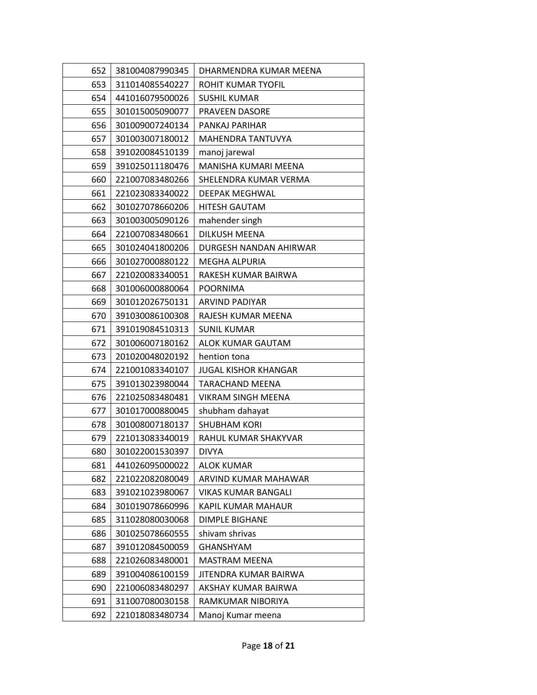| 652 | 381004087990345 | DHARMENDRA KUMAR MEENA      |
|-----|-----------------|-----------------------------|
| 653 | 311014085540227 | ROHIT KUMAR TYOFIL          |
| 654 | 441016079500026 | <b>SUSHIL KUMAR</b>         |
| 655 | 301015005090077 | <b>PRAVEEN DASORE</b>       |
| 656 | 301009007240134 | PANKAJ PARIHAR              |
| 657 | 301003007180012 | MAHENDRA TANTUVYA           |
| 658 | 391020084510139 | manoj jarewal               |
| 659 | 391025011180476 | MANISHA KUMARI MEENA        |
| 660 | 221007083480266 | SHELENDRA KUMAR VERMA       |
| 661 | 221023083340022 | DEEPAK MEGHWAL              |
| 662 | 301027078660206 | <b>HITESH GAUTAM</b>        |
| 663 | 301003005090126 | mahender singh              |
| 664 | 221007083480661 | DILKUSH MEENA               |
| 665 | 301024041800206 | DURGESH NANDAN AHIRWAR      |
| 666 | 301027000880122 | <b>MEGHA ALPURIA</b>        |
| 667 | 221020083340051 | RAKESH KUMAR BAIRWA         |
| 668 | 301006000880064 | <b>POORNIMA</b>             |
| 669 | 301012026750131 | ARVIND PADIYAR              |
| 670 | 391030086100308 | RAJESH KUMAR MEENA          |
| 671 | 391019084510313 | <b>SUNIL KUMAR</b>          |
| 672 | 301006007180162 | ALOK KUMAR GAUTAM           |
| 673 | 201020048020192 | hention tona                |
| 674 | 221001083340107 | <b>JUGAL KISHOR KHANGAR</b> |
| 675 | 391013023980044 | <b>TARACHAND MEENA</b>      |
| 676 | 221025083480481 | VIKRAM SINGH MEENA          |
| 677 | 301017000880045 | shubham dahayat             |
| 678 | 301008007180137 | <b>SHUBHAM KORI</b>         |
| 679 | 221013083340019 | RAHUL KUMAR SHAKYVAR        |
| 680 | 301022001530397 | <b>DIVYA</b>                |
| 681 | 441026095000022 | <b>ALOK KUMAR</b>           |
| 682 | 221022082080049 | ARVIND KUMAR MAHAWAR        |
| 683 | 391021023980067 | <b>VIKAS KUMAR BANGALI</b>  |
| 684 | 301019078660996 | KAPIL KUMAR MAHAUR          |
| 685 | 311028080030068 | <b>DIMPLE BIGHANE</b>       |
| 686 | 301025078660555 | shivam shrivas              |
| 687 | 391012084500059 | <b>GHANSHYAM</b>            |
| 688 | 221026083480001 | <b>MASTRAM MEENA</b>        |
| 689 | 391004086100159 | JITENDRA KUMAR BAIRWA       |
| 690 | 221006083480297 | AKSHAY KUMAR BAIRWA         |
| 691 | 311007080030158 | RAMKUMAR NIBORIYA           |
| 692 | 221018083480734 | Manoj Kumar meena           |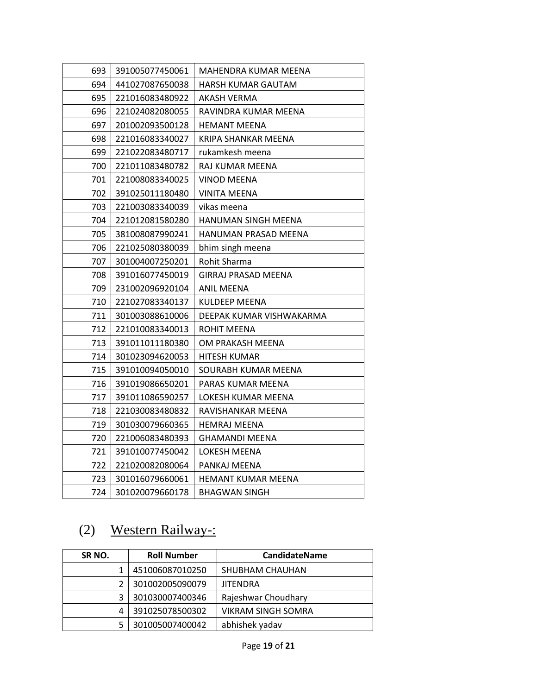| 693 | 391005077450061 | MAHENDRA KUMAR MEENA       |
|-----|-----------------|----------------------------|
| 694 | 441027087650038 | HARSH KUMAR GAUTAM         |
| 695 | 221016083480922 | AKASH VERMA                |
| 696 | 221024082080055 | RAVINDRA KUMAR MEENA       |
| 697 | 201002093500128 | <b>HEMANT MEENA</b>        |
| 698 | 221016083340027 | KRIPA SHANKAR MEENA        |
| 699 | 221022083480717 | rukamkesh meena            |
| 700 | 221011083480782 | RAJ KUMAR MEENA            |
| 701 | 221008083340025 | <b>VINOD MEENA</b>         |
| 702 | 391025011180480 | <b>VINITA MEENA</b>        |
| 703 | 221003083340039 | vikas meena                |
| 704 | 221012081580280 | HANUMAN SINGH MEENA        |
| 705 | 381008087990241 | HANUMAN PRASAD MEENA       |
| 706 | 221025080380039 | bhim singh meena           |
| 707 | 301004007250201 | Rohit Sharma               |
| 708 | 391016077450019 | <b>GIRRAJ PRASAD MEENA</b> |
| 709 | 231002096920104 | <b>ANIL MEENA</b>          |
| 710 | 221027083340137 | <b>KULDEEP MEENA</b>       |
| 711 | 301003088610006 | DEEPAK KUMAR VISHWAKARMA   |
| 712 | 221010083340013 | ROHIT MEENA                |
| 713 | 391011011180380 | OM PRAKASH MEENA           |
| 714 | 301023094620053 | <b>HITESH KUMAR</b>        |
| 715 | 391010094050010 | SOURABH KUMAR MEENA        |
| 716 | 391019086650201 | PARAS KUMAR MEENA          |
| 717 | 391011086590257 | LOKESH KUMAR MEENA         |
| 718 | 221030083480832 | RAVISHANKAR MEENA          |
| 719 | 301030079660365 | <b>HEMRAJ MEENA</b>        |
| 720 | 221006083480393 | <b>GHAMANDI MEENA</b>      |
| 721 | 391010077450042 | LOKESH MEENA               |
| 722 | 221020082080064 | PANKAJ MEENA               |
| 723 | 301016079660061 | HEMANT KUMAR MEENA         |
| 724 | 301020079660178 | <b>BHAGWAN SINGH</b>       |

# (2) Western Railway-:

| SR <sub>NO</sub> . | <b>Roll Number</b> | <b>CandidateName</b>      |
|--------------------|--------------------|---------------------------|
|                    | 451006087010250    | SHUBHAM CHAUHAN           |
|                    | 301002005090079    | <b>JITENDRA</b>           |
|                    | 301030007400346    | Rajeshwar Choudhary       |
| 4                  | 391025078500302    | <b>VIKRAM SINGH SOMRA</b> |
|                    | 301005007400042    | abhishek yadav            |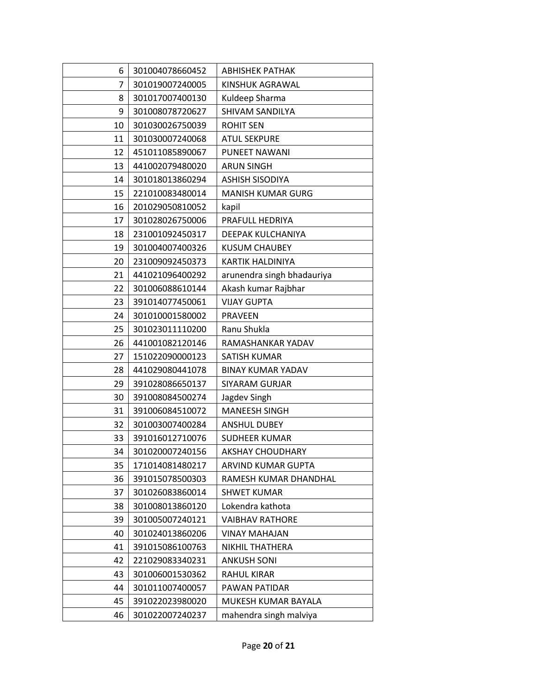| 6  | 301004078660452 | <b>ABHISHEK PATHAK</b>     |
|----|-----------------|----------------------------|
| 7  | 301019007240005 | KINSHUK AGRAWAL            |
| 8  | 301017007400130 | Kuldeep Sharma             |
| 9  | 301008078720627 | SHIVAM SANDILYA            |
| 10 | 301030026750039 | <b>ROHIT SEN</b>           |
| 11 | 301030007240068 | <b>ATUL SEKPURE</b>        |
| 12 | 451011085890067 | PUNEET NAWANI              |
| 13 | 441002079480020 | <b>ARUN SINGH</b>          |
| 14 | 301018013860294 | <b>ASHISH SISODIYA</b>     |
| 15 | 221010083480014 | <b>MANISH KUMAR GURG</b>   |
| 16 | 201029050810052 | kapil                      |
| 17 | 301028026750006 | PRAFULL HEDRIYA            |
| 18 | 231001092450317 | DEEPAK KULCHANIYA          |
| 19 | 301004007400326 | <b>KUSUM CHAUBEY</b>       |
| 20 | 231009092450373 | <b>KARTIK HALDINIYA</b>    |
| 21 | 441021096400292 | arunendra singh bhadauriya |
| 22 | 301006088610144 | Akash kumar Rajbhar        |
| 23 | 391014077450061 | <b>VIJAY GUPTA</b>         |
| 24 | 301010001580002 | <b>PRAVEEN</b>             |
| 25 | 301023011110200 | Ranu Shukla                |
| 26 | 441001082120146 | RAMASHANKAR YADAV          |
| 27 | 151022090000123 | SATISH KUMAR               |
| 28 | 441029080441078 | <b>BINAY KUMAR YADAV</b>   |
| 29 | 391028086650137 | <b>SIYARAM GURJAR</b>      |
| 30 | 391008084500274 | Jagdev Singh               |
| 31 | 391006084510072 | <b>MANEESH SINGH</b>       |
| 32 | 301003007400284 | <b>ANSHUL DUBEY</b>        |
| 33 | 391016012710076 | <b>SUDHEER KUMAR</b>       |
| 34 | 301020007240156 | <b>AKSHAY CHOUDHARY</b>    |
| 35 | 171014081480217 | ARVIND KUMAR GUPTA         |
| 36 | 391015078500303 | RAMESH KUMAR DHANDHAL      |
| 37 | 301026083860014 | <b>SHWET KUMAR</b>         |
| 38 | 301008013860120 | Lokendra kathota           |
| 39 | 301005007240121 | <b>VAIBHAV RATHORE</b>     |
| 40 | 301024013860206 | <b>VINAY MAHAJAN</b>       |
| 41 | 391015086100763 | NIKHIL THATHERA            |
| 42 | 221029083340231 | <b>ANKUSH SONI</b>         |
| 43 | 301006001530362 | <b>RAHUL KIRAR</b>         |
| 44 | 301011007400057 | PAWAN PATIDAR              |
| 45 | 391022023980020 | MUKESH KUMAR BAYALA        |
| 46 | 301022007240237 | mahendra singh malviya     |